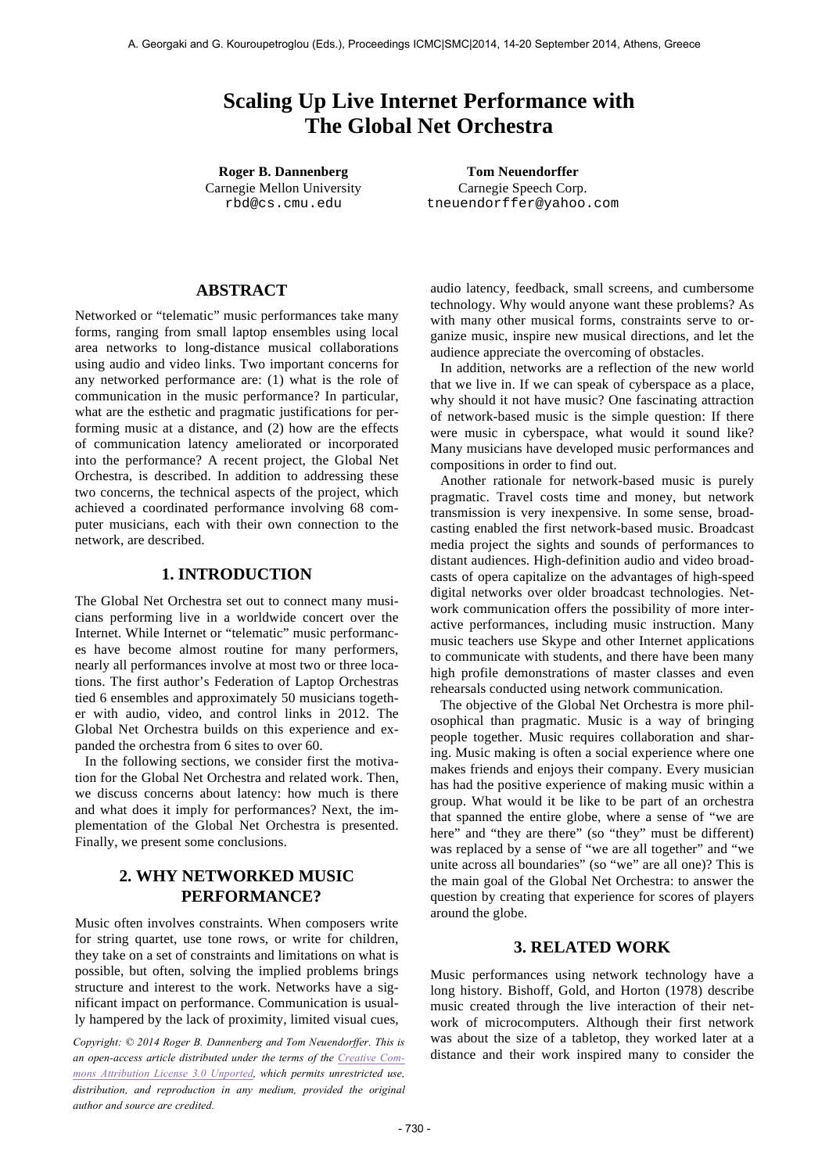# **Scaling Up Live Internet Performance with The Global Net Orchestra**

Carnegie Mellon University rbd@cs.cmu.edu

**Roger B. Dannenberg Tom Neuendorffer** Carnegie Speech Corp. tneuendorffer@yahoo.com

# **ABSTRACT**

Networked or "telematic" music performances take many forms, ranging from small laptop ensembles using local area networks to long-distance musical collaborations using audio and video links. Two important concerns for any networked performance are: (1) what is the role of communication in the music performance? In particular, what are the esthetic and pragmatic justifications for performing music at a distance, and (2) how are the effects of communication latency ameliorated or incorporated into the performance? A recent project, the Global Net Orchestra, is described. In addition to addressing these two concerns, the technical aspects of the project, which achieved a coordinated performance involving 68 computer musicians, each with their own connection to the network, are described.

# **1. INTRODUCTION**

The Global Net Orchestra set out to connect many musicians performing live in a worldwide concert over the Internet. While Internet or "telematic" music performances have become almost routine for many performers, nearly all performances involve at most two or three locations. The first author's Federation of Laptop Orchestras tied 6 ensembles and approximately 50 musicians together with audio, video, and control links in 2012. The Global Net Orchestra builds on this experience and expanded the orchestra from 6 sites to over 60.

In the following sections, we consider first the motivation for the Global Net Orchestra and related work. Then, we discuss concerns about latency: how much is there and what does it imply for performances? Next, the implementation of the Global Net Orchestra is presented. Finally, we present some conclusions.

# **2. WHY NETWORKED MUSIC PERFORMANCE?**

Music often involves constraints. When composers write for string quartet, use tone rows, or write for children, they take on a set of constraints and limitations on what is possible, but often, solving the implied problems brings structure and interest to the work. Networks have a significant impact on performance. Communication is usually hampered by the lack of proximity, limited visual cues,

*Copyright: © 2014 Roger B. Dannenberg and Tom Neuendorffer. This is an open-access article distributed under the terms of the Creative Commons Attribution License 3.0 Unported, which permits unrestricted use, distribution, and reproduction in any medium, provided the original author and source are credited.*

audio latency, feedback, small screens, and cumbersome technology. Why would anyone want these problems? As with many other musical forms, constraints serve to organize music, inspire new musical directions, and let the audience appreciate the overcoming of obstacles.

In addition, networks are a reflection of the new world that we live in. If we can speak of cyberspace as a place, why should it not have music? One fascinating attraction of network-based music is the simple question: If there were music in cyberspace, what would it sound like? Many musicians have developed music performances and compositions in order to find out.

Another rationale for network-based music is purely pragmatic. Travel costs time and money, but network transmission is very inexpensive. In some sense, broadcasting enabled the first network-based music. Broadcast media project the sights and sounds of performances to distant audiences. High-definition audio and video broadcasts of opera capitalize on the advantages of high-speed digital networks over older broadcast technologies. Network communication offers the possibility of more interactive performances, including music instruction. Many music teachers use Skype and other Internet applications to communicate with students, and there have been many high profile demonstrations of master classes and even rehearsals conducted using network communication.

The objective of the Global Net Orchestra is more philosophical than pragmatic. Music is a way of bringing people together. Music requires collaboration and sharing. Music making is often a social experience where one makes friends and enjoys their company. Every musician has had the positive experience of making music within a group. What would it be like to be part of an orchestra that spanned the entire globe, where a sense of "we are here" and "they are there" (so "they" must be different) was replaced by a sense of "we are all together" and "we unite across all boundaries" (so "we" are all one)? This is the main goal of the Global Net Orchestra: to answer the question by creating that experience for scores of players around the globe.

# **3. RELATED WORK**

Music performances using network technology have a long history. Bishoff, Gold, and Horton (1978) describe music created through the live interaction of their network of microcomputers. Although their first network was about the size of a tabletop, they worked later at a distance and their work inspired many to consider the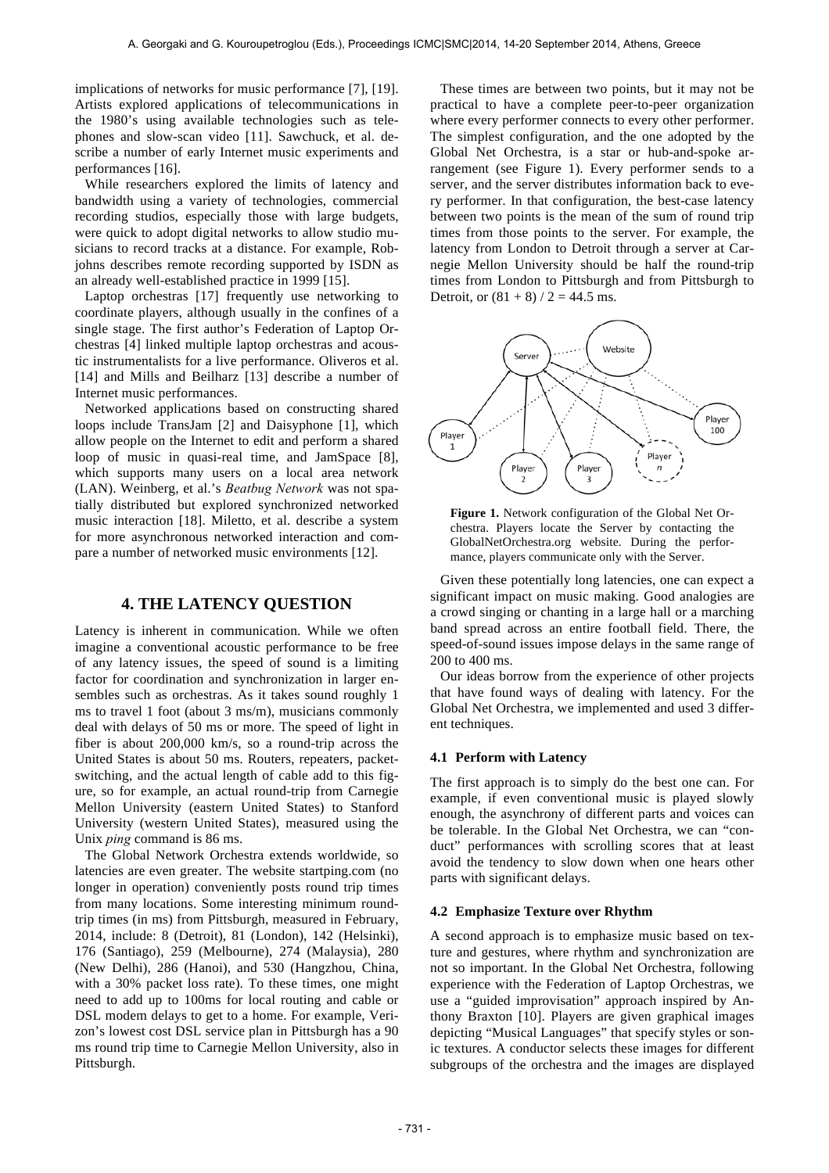implications of networks for music performance [7], [19]. Artists explored applications of telecommunications in the 1980's using available technologies such as telephones and slow-scan video [11]. Sawchuck, et al. describe a number of early Internet music experiments and performances [16].

While researchers explored the limits of latency and bandwidth using a variety of technologies, commercial recording studios, especially those with large budgets, were quick to adopt digital networks to allow studio musicians to record tracks at a distance. For example, Robjohns describes remote recording supported by ISDN as an already well-established practice in 1999 [15].

Laptop orchestras [17] frequently use networking to coordinate players, although usually in the confines of a single stage. The first author's Federation of Laptop Orchestras [4] linked multiple laptop orchestras and acoustic instrumentalists for a live performance. Oliveros et al. [14] and Mills and Beilharz [13] describe a number of Internet music performances.

Networked applications based on constructing shared loops include TransJam [2] and Daisyphone [1], which allow people on the Internet to edit and perform a shared loop of music in quasi-real time, and JamSpace [8], which supports many users on a local area network (LAN). Weinberg, et al.'s *Beatbug Network* was not spatially distributed but explored synchronized networked music interaction [18]. Miletto, et al. describe a system for more asynchronous networked interaction and compare a number of networked music environments [12].

# **4. THE LATENCY QUESTION**

Latency is inherent in communication. While we often imagine a conventional acoustic performance to be free of any latency issues, the speed of sound is a limiting factor for coordination and synchronization in larger ensembles such as orchestras. As it takes sound roughly 1 ms to travel 1 foot (about 3 ms/m), musicians commonly deal with delays of 50 ms or more. The speed of light in fiber is about 200,000 km/s, so a round-trip across the United States is about 50 ms. Routers, repeaters, packetswitching, and the actual length of cable add to this figure, so for example, an actual round-trip from Carnegie Mellon University (eastern United States) to Stanford University (western United States), measured using the Unix *ping* command is 86 ms.

The Global Network Orchestra extends worldwide, so latencies are even greater. The website startping.com (no longer in operation) conveniently posts round trip times from many locations. Some interesting minimum roundtrip times (in ms) from Pittsburgh, measured in February, 2014, include: 8 (Detroit), 81 (London), 142 (Helsinki), 176 (Santiago), 259 (Melbourne), 274 (Malaysia), 280 (New Delhi), 286 (Hanoi), and 530 (Hangzhou, China, with a 30% packet loss rate). To these times, one might need to add up to 100ms for local routing and cable or DSL modem delays to get to a home. For example, Verizon's lowest cost DSL service plan in Pittsburgh has a 90 ms round trip time to Carnegie Mellon University, also in Pittsburgh.

These times are between two points, but it may not be practical to have a complete peer-to-peer organization where every performer connects to every other performer. The simplest configuration, and the one adopted by the Global Net Orchestra, is a star or hub-and-spoke arrangement (see Figure 1). Every performer sends to a server, and the server distributes information back to every performer. In that configuration, the best-case latency between two points is the mean of the sum of round trip times from those points to the server. For example, the latency from London to Detroit through a server at Carnegie Mellon University should be half the round-trip times from London to Pittsburgh and from Pittsburgh to Detroit, or  $(81 + 8) / 2 = 44.5$  ms.



**Figure 1.** Network configuration of the Global Net Orchestra. Players locate the Server by contacting the GlobalNetOrchestra.org website. During the performance, players communicate only with the Server.

Given these potentially long latencies, one can expect a significant impact on music making. Good analogies are a crowd singing or chanting in a large hall or a marching band spread across an entire football field. There, the speed-of-sound issues impose delays in the same range of 200 to 400 ms.

Our ideas borrow from the experience of other projects that have found ways of dealing with latency. For the Global Net Orchestra, we implemented and used 3 different techniques.

#### **4.1 Perform with Latency**

The first approach is to simply do the best one can. For example, if even conventional music is played slowly enough, the asynchrony of different parts and voices can be tolerable. In the Global Net Orchestra, we can "conduct" performances with scrolling scores that at least avoid the tendency to slow down when one hears other parts with significant delays.

#### **4.2 Emphasize Texture over Rhythm**

A second approach is to emphasize music based on texture and gestures, where rhythm and synchronization are not so important. In the Global Net Orchestra, following experience with the Federation of Laptop Orchestras, we use a "guided improvisation" approach inspired by Anthony Braxton [10]. Players are given graphical images depicting "Musical Languages" that specify styles or sonic textures. A conductor selects these images for different subgroups of the orchestra and the images are displayed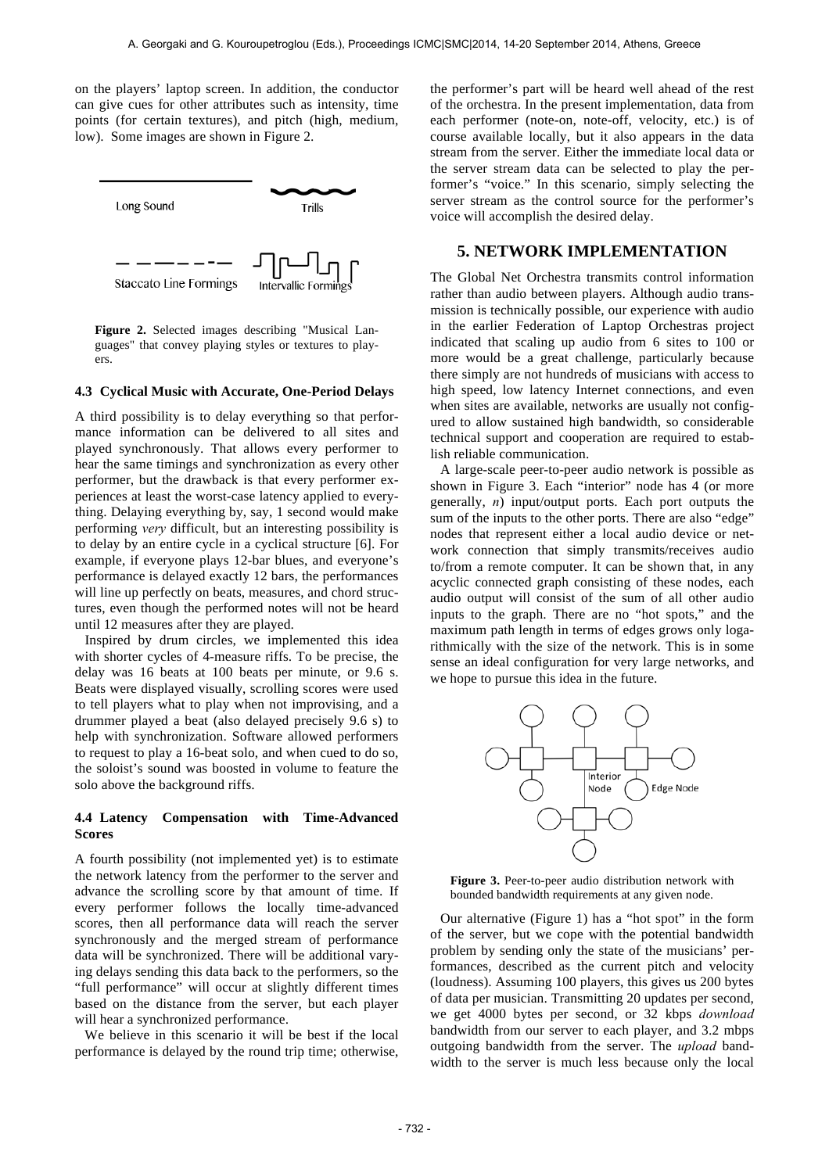on the players' laptop screen. In addition, the conductor can give cues for other attributes such as intensity, time points (for certain textures), and pitch (high, medium, low). Some images are shown in Figure 2.



**Figure 2.** Selected images describing "Musical Languages" that convey playing styles or textures to players.

#### **4.3 Cyclical Music with Accurate, One-Period Delays**

A third possibility is to delay everything so that performance information can be delivered to all sites and played synchronously. That allows every performer to hear the same timings and synchronization as every other performer, but the drawback is that every performer experiences at least the worst-case latency applied to everything. Delaying everything by, say, 1 second would make performing *very* difficult, but an interesting possibility is to delay by an entire cycle in a cyclical structure [6]. For example, if everyone plays 12-bar blues, and everyone's performance is delayed exactly 12 bars, the performances will line up perfectly on beats, measures, and chord structures, even though the performed notes will not be heard until 12 measures after they are played.

Inspired by drum circles, we implemented this idea with shorter cycles of 4-measure riffs. To be precise, the delay was 16 beats at 100 beats per minute, or 9.6 s. Beats were displayed visually, scrolling scores were used to tell players what to play when not improvising, and a drummer played a beat (also delayed precisely 9.6 s) to help with synchronization. Software allowed performers to request to play a 16-beat solo, and when cued to do so, the soloist's sound was boosted in volume to feature the solo above the background riffs.

#### **4.4 Latency Compensation with Time-Advanced Scores**

A fourth possibility (not implemented yet) is to estimate the network latency from the performer to the server and advance the scrolling score by that amount of time. If every performer follows the locally time-advanced scores, then all performance data will reach the server synchronously and the merged stream of performance data will be synchronized. There will be additional varying delays sending this data back to the performers, so the "full performance" will occur at slightly different times based on the distance from the server, but each player will hear a synchronized performance.

We believe in this scenario it will be best if the local performance is delayed by the round trip time; otherwise, the performer's part will be heard well ahead of the rest of the orchestra. In the present implementation, data from each performer (note-on, note-off, velocity, etc.) is of course available locally, but it also appears in the data stream from the server. Either the immediate local data or the server stream data can be selected to play the performer's "voice." In this scenario, simply selecting the server stream as the control source for the performer's voice will accomplish the desired delay.

# **5. NETWORK IMPLEMENTATION**

The Global Net Orchestra transmits control information rather than audio between players. Although audio transmission is technically possible, our experience with audio in the earlier Federation of Laptop Orchestras project indicated that scaling up audio from 6 sites to 100 or more would be a great challenge, particularly because there simply are not hundreds of musicians with access to high speed, low latency Internet connections, and even when sites are available, networks are usually not configured to allow sustained high bandwidth, so considerable technical support and cooperation are required to establish reliable communication.

A large-scale peer-to-peer audio network is possible as shown in Figure 3. Each "interior" node has 4 (or more generally, *n*) input/output ports. Each port outputs the sum of the inputs to the other ports. There are also "edge" nodes that represent either a local audio device or network connection that simply transmits/receives audio to/from a remote computer. It can be shown that, in any acyclic connected graph consisting of these nodes, each audio output will consist of the sum of all other audio inputs to the graph. There are no "hot spots," and the maximum path length in terms of edges grows only logarithmically with the size of the network. This is in some sense an ideal configuration for very large networks, and we hope to pursue this idea in the future.



**Figure 3.** Peer-to-peer audio distribution network with bounded bandwidth requirements at any given node.

Our alternative (Figure 1) has a "hot spot" in the form of the server, but we cope with the potential bandwidth problem by sending only the state of the musicians' performances, described as the current pitch and velocity (loudness). Assuming 100 players, this gives us 200 bytes of data per musician. Transmitting 20 updates per second, we get 4000 bytes per second, or 32 kbps *download* bandwidth from our server to each player, and 3.2 mbps outgoing bandwidth from the server. The *upload* bandwidth to the server is much less because only the local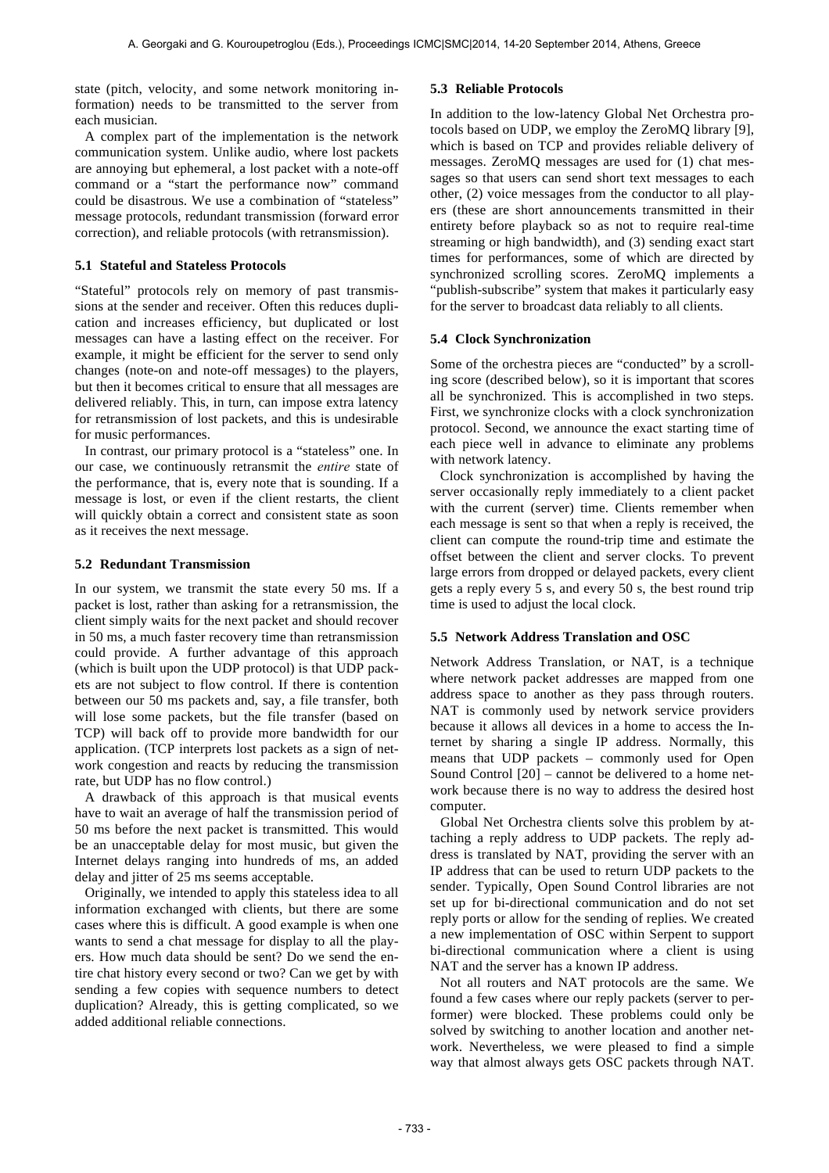state (pitch, velocity, and some network monitoring information) needs to be transmitted to the server from each musician.

A complex part of the implementation is the network communication system. Unlike audio, where lost packets are annoying but ephemeral, a lost packet with a note-off command or a "start the performance now" command could be disastrous. We use a combination of "stateless" message protocols, redundant transmission (forward error correction), and reliable protocols (with retransmission).

#### **5.1 Stateful and Stateless Protocols**

"Stateful" protocols rely on memory of past transmissions at the sender and receiver. Often this reduces duplication and increases efficiency, but duplicated or lost messages can have a lasting effect on the receiver. For example, it might be efficient for the server to send only changes (note-on and note-off messages) to the players, but then it becomes critical to ensure that all messages are delivered reliably. This, in turn, can impose extra latency for retransmission of lost packets, and this is undesirable for music performances.

In contrast, our primary protocol is a "stateless" one. In our case, we continuously retransmit the *entire* state of the performance, that is, every note that is sounding. If a message is lost, or even if the client restarts, the client will quickly obtain a correct and consistent state as soon as it receives the next message.

#### **5.2 Redundant Transmission**

In our system, we transmit the state every 50 ms. If a packet is lost, rather than asking for a retransmission, the client simply waits for the next packet and should recover in 50 ms, a much faster recovery time than retransmission could provide. A further advantage of this approach (which is built upon the UDP protocol) is that UDP packets are not subject to flow control. If there is contention between our 50 ms packets and, say, a file transfer, both will lose some packets, but the file transfer (based on TCP) will back off to provide more bandwidth for our application. (TCP interprets lost packets as a sign of network congestion and reacts by reducing the transmission rate, but UDP has no flow control.)

A drawback of this approach is that musical events have to wait an average of half the transmission period of 50 ms before the next packet is transmitted. This would be an unacceptable delay for most music, but given the Internet delays ranging into hundreds of ms, an added delay and jitter of 25 ms seems acceptable.

Originally, we intended to apply this stateless idea to all information exchanged with clients, but there are some cases where this is difficult. A good example is when one wants to send a chat message for display to all the players. How much data should be sent? Do we send the entire chat history every second or two? Can we get by with sending a few copies with sequence numbers to detect duplication? Already, this is getting complicated, so we added additional reliable connections.

#### **5.3 Reliable Protocols**

In addition to the low-latency Global Net Orchestra protocols based on UDP, we employ the ZeroMQ library [9], which is based on TCP and provides reliable delivery of messages. ZeroMQ messages are used for (1) chat messages so that users can send short text messages to each other, (2) voice messages from the conductor to all players (these are short announcements transmitted in their entirety before playback so as not to require real-time streaming or high bandwidth), and (3) sending exact start times for performances, some of which are directed by synchronized scrolling scores. ZeroMQ implements a "publish-subscribe" system that makes it particularly easy for the server to broadcast data reliably to all clients.

#### **5.4 Clock Synchronization**

Some of the orchestra pieces are "conducted" by a scrolling score (described below), so it is important that scores all be synchronized. This is accomplished in two steps. First, we synchronize clocks with a clock synchronization protocol. Second, we announce the exact starting time of each piece well in advance to eliminate any problems with network latency.

Clock synchronization is accomplished by having the server occasionally reply immediately to a client packet with the current (server) time. Clients remember when each message is sent so that when a reply is received, the client can compute the round-trip time and estimate the offset between the client and server clocks. To prevent large errors from dropped or delayed packets, every client gets a reply every 5 s, and every 50 s, the best round trip time is used to adjust the local clock.

## **5.5 Network Address Translation and OSC**

Network Address Translation, or NAT, is a technique where network packet addresses are mapped from one address space to another as they pass through routers. NAT is commonly used by network service providers because it allows all devices in a home to access the Internet by sharing a single IP address. Normally, this means that UDP packets – commonly used for Open Sound Control [20] – cannot be delivered to a home network because there is no way to address the desired host computer.

Global Net Orchestra clients solve this problem by attaching a reply address to UDP packets. The reply address is translated by NAT, providing the server with an IP address that can be used to return UDP packets to the sender. Typically, Open Sound Control libraries are not set up for bi-directional communication and do not set reply ports or allow for the sending of replies. We created a new implementation of OSC within Serpent to support bi-directional communication where a client is using NAT and the server has a known IP address.

Not all routers and NAT protocols are the same. We found a few cases where our reply packets (server to performer) were blocked. These problems could only be solved by switching to another location and another network. Nevertheless, we were pleased to find a simple way that almost always gets OSC packets through NAT.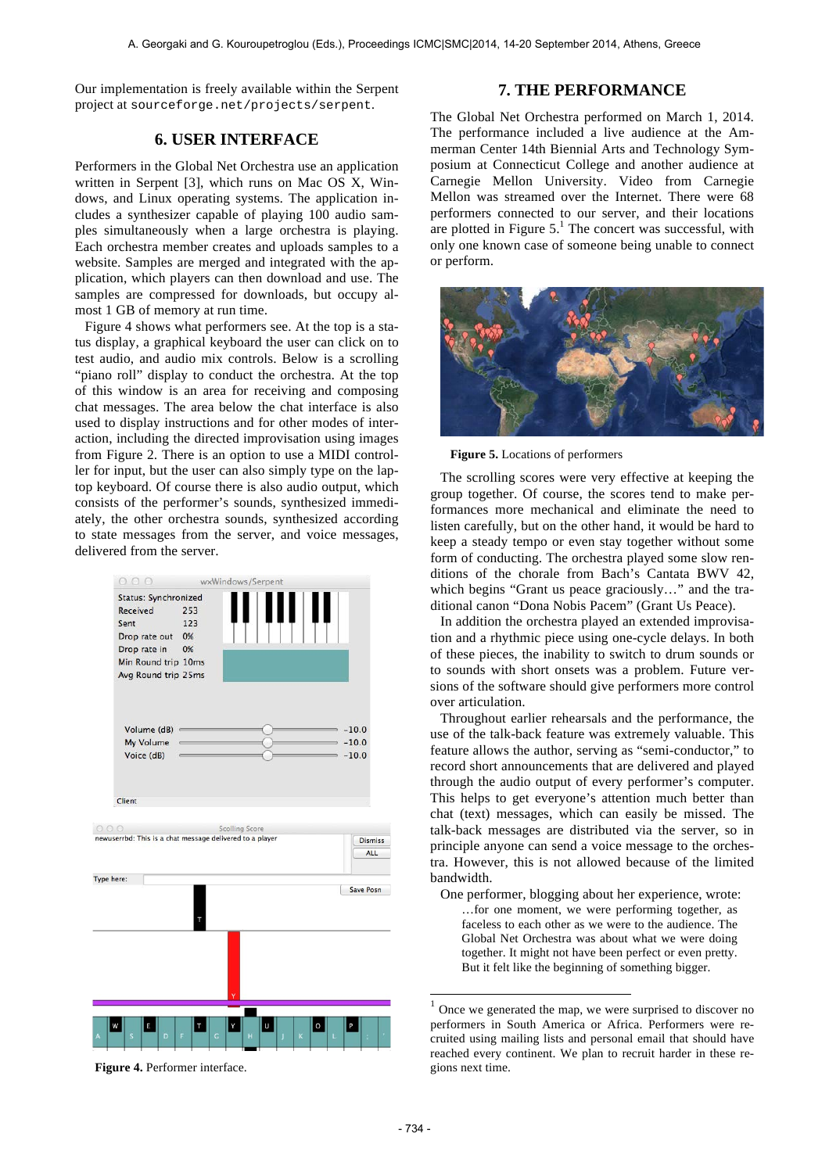Our implementation is freely available within the Serpent project at sourceforge.net/projects/serpent.

# **6. USER INTERFACE**

Performers in the Global Net Orchestra use an application written in Serpent [3], which runs on Mac OS X, Windows, and Linux operating systems. The application includes a synthesizer capable of playing 100 audio samples simultaneously when a large orchestra is playing. Each orchestra member creates and uploads samples to a website. Samples are merged and integrated with the application, which players can then download and use. The samples are compressed for downloads, but occupy almost 1 GB of memory at run time.

Figure 4 shows what performers see. At the top is a status display, a graphical keyboard the user can click on to test audio, and audio mix controls. Below is a scrolling "piano roll" display to conduct the orchestra. At the top of this window is an area for receiving and composing chat messages. The area below the chat interface is also used to display instructions and for other modes of interaction, including the directed improvisation using images from Figure 2. There is an option to use a MIDI controller for input, but the user can also simply type on the laptop keyboard. Of course there is also audio output, which consists of the performer's sounds, synthesized immediately, the other orchestra sounds, synthesized according to state messages from the server, and voice messages, delivered from the server.



**Figure 4.** Performer interface.

## **7. THE PERFORMANCE**

The Global Net Orchestra performed on March 1, 2014. The performance included a live audience at the Ammerman Center 14th Biennial Arts and Technology Symposium at Connecticut College and another audience at Carnegie Mellon University. Video from Carnegie Mellon was streamed over the Internet. There were 68 performers connected to our server, and their locations are plotted in Figure  $5<sup>1</sup>$ . The concert was successful, with only one known case of someone being unable to connect or perform.



**Figure 5.** Locations of performers

The scrolling scores were very effective at keeping the group together. Of course, the scores tend to make performances more mechanical and eliminate the need to listen carefully, but on the other hand, it would be hard to keep a steady tempo or even stay together without some form of conducting. The orchestra played some slow renditions of the chorale from Bach's Cantata BWV 42, which begins "Grant us peace graciously…" and the traditional canon "Dona Nobis Pacem" (Grant Us Peace).

In addition the orchestra played an extended improvisation and a rhythmic piece using one-cycle delays. In both of these pieces, the inability to switch to drum sounds or to sounds with short onsets was a problem. Future versions of the software should give performers more control over articulation.

Throughout earlier rehearsals and the performance, the use of the talk-back feature was extremely valuable. This feature allows the author, serving as "semi-conductor," to record short announcements that are delivered and played through the audio output of every performer's computer. This helps to get everyone's attention much better than chat (text) messages, which can easily be missed. The talk-back messages are distributed via the server, so in principle anyone can send a voice message to the orchestra. However, this is not allowed because of the limited bandwidth.

One performer, blogging about her experience, wrote: …for one moment, we were performing together, as faceless to each other as we were to the audience. The Global Net Orchestra was about what we were doing together. It might not have been perfect or even pretty. But it felt like the beginning of something bigger.

-

 $1$  Once we generated the map, we were surprised to discover no performers in South America or Africa. Performers were recruited using mailing lists and personal email that should have reached every continent. We plan to recruit harder in these regions next time.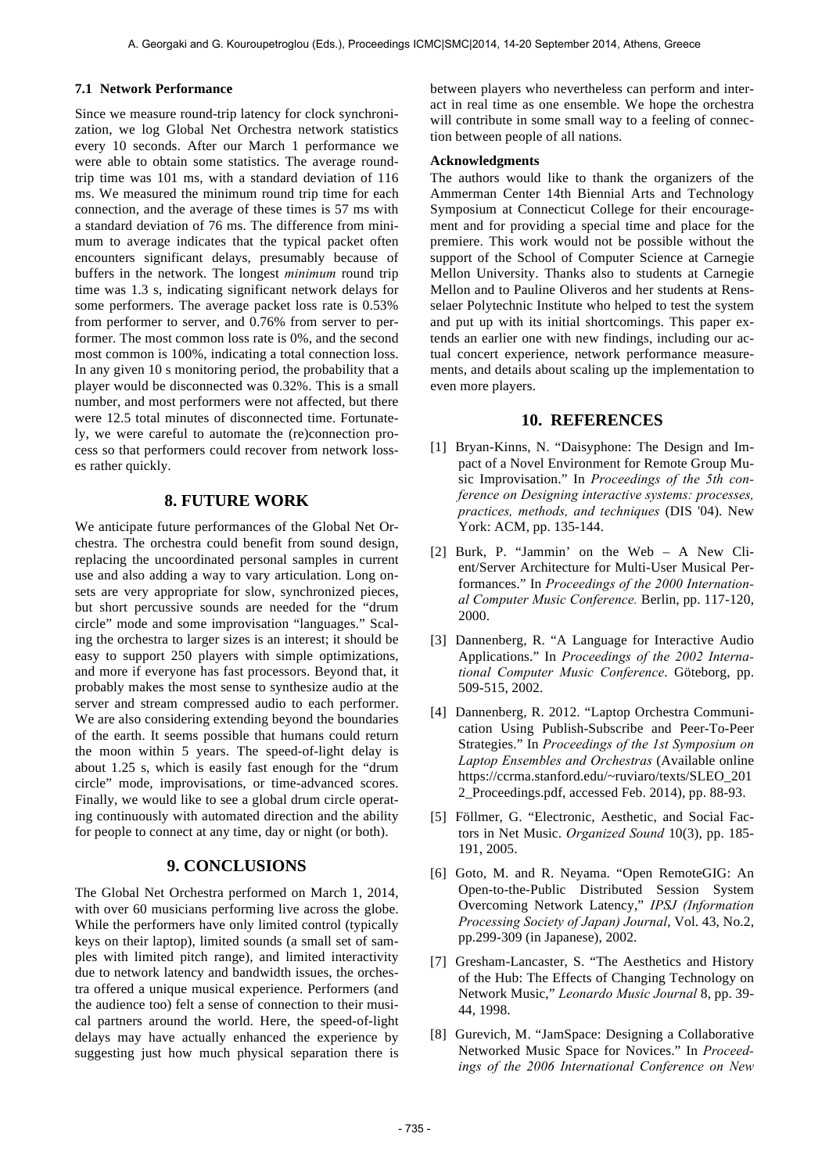#### **7.1 Network Performance**

Since we measure round-trip latency for clock synchronization, we log Global Net Orchestra network statistics every 10 seconds. After our March 1 performance we were able to obtain some statistics. The average roundtrip time was 101 ms, with a standard deviation of 116 ms. We measured the minimum round trip time for each connection, and the average of these times is 57 ms with a standard deviation of 76 ms. The difference from minimum to average indicates that the typical packet often encounters significant delays, presumably because of buffers in the network. The longest *minimum* round trip time was 1.3 s, indicating significant network delays for some performers. The average packet loss rate is 0.53% from performer to server, and 0.76% from server to performer. The most common loss rate is 0%, and the second most common is 100%, indicating a total connection loss. In any given 10 s monitoring period, the probability that a player would be disconnected was 0.32%. This is a small number, and most performers were not affected, but there were 12.5 total minutes of disconnected time. Fortunately, we were careful to automate the (re)connection process so that performers could recover from network losses rather quickly.

# **8. FUTURE WORK**

We anticipate future performances of the Global Net Orchestra. The orchestra could benefit from sound design, replacing the uncoordinated personal samples in current use and also adding a way to vary articulation. Long onsets are very appropriate for slow, synchronized pieces, but short percussive sounds are needed for the "drum circle" mode and some improvisation "languages." Scaling the orchestra to larger sizes is an interest; it should be easy to support 250 players with simple optimizations, and more if everyone has fast processors. Beyond that, it probably makes the most sense to synthesize audio at the server and stream compressed audio to each performer. We are also considering extending beyond the boundaries of the earth. It seems possible that humans could return the moon within 5 years. The speed-of-light delay is about 1.25 s, which is easily fast enough for the "drum circle" mode, improvisations, or time-advanced scores. Finally, we would like to see a global drum circle operating continuously with automated direction and the ability for people to connect at any time, day or night (or both).

# **9. CONCLUSIONS**

The Global Net Orchestra performed on March 1, 2014, with over 60 musicians performing live across the globe. While the performers have only limited control (typically keys on their laptop), limited sounds (a small set of samples with limited pitch range), and limited interactivity due to network latency and bandwidth issues, the orchestra offered a unique musical experience. Performers (and the audience too) felt a sense of connection to their musical partners around the world. Here, the speed-of-light delays may have actually enhanced the experience by suggesting just how much physical separation there is between players who nevertheless can perform and interact in real time as one ensemble. We hope the orchestra will contribute in some small way to a feeling of connection between people of all nations.

#### **Acknowledgments**

The authors would like to thank the organizers of the Ammerman Center 14th Biennial Arts and Technology Symposium at Connecticut College for their encouragement and for providing a special time and place for the premiere. This work would not be possible without the support of the School of Computer Science at Carnegie Mellon University. Thanks also to students at Carnegie Mellon and to Pauline Oliveros and her students at Rensselaer Polytechnic Institute who helped to test the system and put up with its initial shortcomings. This paper extends an earlier one with new findings, including our actual concert experience, network performance measurements, and details about scaling up the implementation to even more players.

## **10. REFERENCES**

- [1] Bryan-Kinns, N. "Daisyphone: The Design and Impact of a Novel Environment for Remote Group Music Improvisation." In *Proceedings of the 5th conference on Designing interactive systems: processes, practices, methods, and techniques* (DIS '04). New York: ACM, pp. 135-144.
- [2] Burk, P. "Jammin' on the Web A New Client/Server Architecture for Multi-User Musical Performances." In *Proceedings of the 2000 International Computer Music Conference.* Berlin, pp. 117-120, 2000.
- [3] Dannenberg, R. "A Language for Interactive Audio Applications." In *Proceedings of the 2002 International Computer Music Conference*. Göteborg, pp. 509-515, 2002.
- [4] Dannenberg, R. 2012. "Laptop Orchestra Communication Using Publish-Subscribe and Peer-To-Peer Strategies." In *Proceedings of the 1st Symposium on Laptop Ensembles and Orchestras* (Available online https://ccrma.stanford.edu/~ruviaro/texts/SLEO\_201 2\_Proceedings.pdf, accessed Feb. 2014), pp. 88-93.
- [5] Föllmer, G. "Electronic, Aesthetic, and Social Factors in Net Music. *Organized Sound* 10(3), pp. 185- 191, 2005.
- [6] Goto, M. and R. Neyama. "Open RemoteGIG: An Open-to-the-Public Distributed Session System Overcoming Network Latency," *IPSJ (Information Processing Society of Japan) Journal*, Vol. 43, No.2, pp.299-309 (in Japanese), 2002.
- [7] Gresham-Lancaster, S. "The Aesthetics and History of the Hub: The Effects of Changing Technology on Network Music," *Leonardo Music Journal* 8, pp. 39- 44, 1998.
- [8] Gurevich, M. "JamSpace: Designing a Collaborative Networked Music Space for Novices." In *Proceedings of the 2006 International Conference on New*